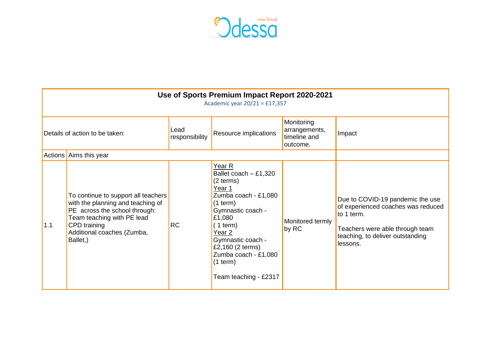

| Use of Sports Premium Impact Report 2020-2021<br>Academic year $20/21 = £17,357$ |                                                                                                                                                                                                   |                        |                                                                                                                                                                                                                                                         |                                                         |                                                                                                                                                                         |  |  |  |  |  |
|----------------------------------------------------------------------------------|---------------------------------------------------------------------------------------------------------------------------------------------------------------------------------------------------|------------------------|---------------------------------------------------------------------------------------------------------------------------------------------------------------------------------------------------------------------------------------------------------|---------------------------------------------------------|-------------------------------------------------------------------------------------------------------------------------------------------------------------------------|--|--|--|--|--|
| Details of action to be taken:                                                   |                                                                                                                                                                                                   | Lead<br>responsibility | Resource implications                                                                                                                                                                                                                                   | Monitoring<br>arrangements,<br>timeline and<br>outcome. | Impact                                                                                                                                                                  |  |  |  |  |  |
|                                                                                  | Actions Aims this year                                                                                                                                                                            |                        |                                                                                                                                                                                                                                                         |                                                         |                                                                                                                                                                         |  |  |  |  |  |
| 1.1                                                                              | To continue to support all teachers<br>with the planning and teaching of<br>PE across the school through:<br>Team teaching with PE lead<br>CPD training<br>Additional coaches (Zumba,<br>Ballet,) | <b>RC</b>              | Year R<br>Ballet coach $- £1,320$<br>(2 terms)<br>Year 1<br>Zumba coach - £1,080<br>(1 term)<br>Gymnastic coach -<br>£1,080<br>(1 term)<br>Year 2<br>Gymnastic coach -<br>£2,160 (2 terms)<br>Zumba coach - £1,080<br>(1 term)<br>Team teaching - £2317 | Monitored termly<br>by RC                               | Due to COVID-19 pandemic the use<br>of experienced coaches was reduced<br>to 1 term.<br>Teachers were able through team<br>teaching, to deliver outstanding<br>lessons. |  |  |  |  |  |